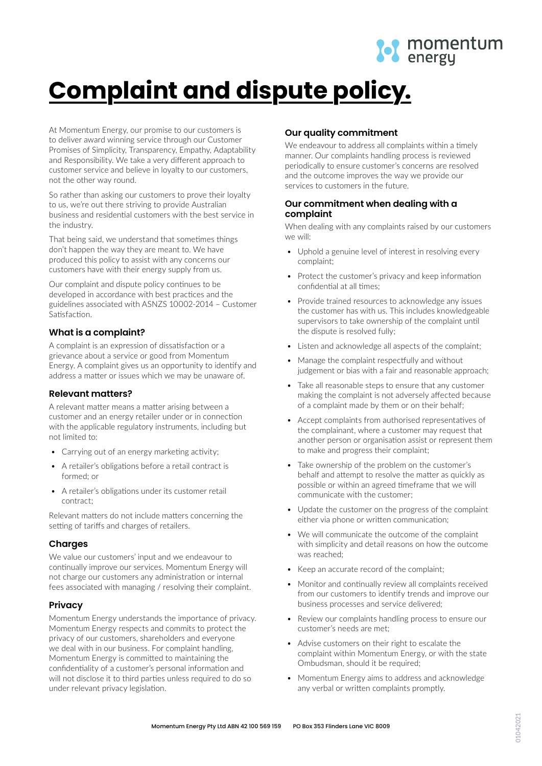

# **Complaint and dispute policy.**

At Momentum Energy, our promise to our customers is to deliver award winning service through our Customer Promises of Simplicity, Transparency, Empathy, Adaptability and Responsibility. We take a very different approach to customer service and believe in loyalty to our customers, not the other way round.

So rather than asking our customers to prove their loyalty to us, we're out there striving to provide Australian business and residential customers with the best service in the industry.

That being said, we understand that sometimes things don't happen the way they are meant to. We have produced this policy to assist with any concerns our customers have with their energy supply from us.

Our complaint and dispute policy continues to be developed in accordance with best practices and the guidelines associated with ASNZS 10002‐2014 – Customer Satisfaction.

# **What is a complaint?**

A complaint is an expression of dissatisfaction or a grievance about a service or good from Momentum Energy. A complaint gives us an opportunity to identify and address a matter or issues which we may be unaware of.

# **Relevant matters?**

A relevant matter means a matter arising between a customer and an energy retailer under or in connection with the applicable regulatory instruments, including but not limited to:

- Carrying out of an energy marketing activity;
- A retailer's obligations before a retail contract is formed; or
- A retailer's obligations under its customer retail contract;

Relevant matters do not include matters concerning the setting of tariffs and charges of retailers.

# **Charges**

We value our customers' input and we endeavour to continually improve our services. Momentum Energy will not charge our customers any administration or internal fees associated with managing / resolving their complaint.

# **Privacy**

Momentum Energy understands the importance of privacy. Momentum Energy respects and commits to protect the privacy of our customers, shareholders and everyone we deal with in our business. For complaint handling, Momentum Energy is committed to maintaining the confidentiality of a customer's personal information and will not disclose it to third parties unless required to do so under relevant privacy legislation.

# **Our quality commitment**

We endeavour to address all complaints within a timely manner. Our complaints handling process is reviewed periodically to ensure customer's concerns are resolved and the outcome improves the way we provide our services to customers in the future.

# **Our commitment when dealing with a complaint**

When dealing with any complaints raised by our customers we will:

- Uphold a genuine level of interest in resolving every complaint;
- Protect the customer's privacy and keep information confidential at all times;
- Provide trained resources to acknowledge any issues the customer has with us. This includes knowledgeable supervisors to take ownership of the complaint until the dispute is resolved fully;
- Listen and acknowledge all aspects of the complaint;
- Manage the complaint respectfully and without judgement or bias with a fair and reasonable approach;
- Take all reasonable steps to ensure that any customer making the complaint is not adversely affected because of a complaint made by them or on their behalf;
- Accept complaints from authorised representatives of the complainant, where a customer may request that another person or organisation assist or represent them to make and progress their complaint;
- Take ownership of the problem on the customer's behalf and attempt to resolve the matter as quickly as possible or within an agreed timeframe that we will communicate with the customer;
- Update the customer on the progress of the complaint either via phone or written communication;
- We will communicate the outcome of the complaint with simplicity and detail reasons on how the outcome was reached;
- Keep an accurate record of the complaint;
- Monitor and continually review all complaints received from our customers to identify trends and improve our business processes and service delivered;
- Review our complaints handling process to ensure our customer's needs are met;
- Advise customers on their right to escalate the complaint within Momentum Energy, or with the state Ombudsman, should it be required;
- Momentum Energy aims to address and acknowledge any verbal or written complaints promptly.